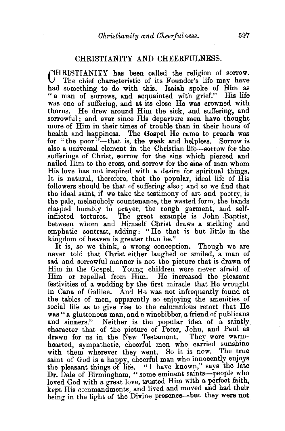## CHRISTIANITY AND CHEERFULNESS.

 $\bigcap$ HRISTIANITY has been called the religion of sorrow. The chief characteristic of its Founder's life may have bad something to do with this. Isaiah spoke of Him as " a man of sorrows, and acquainted with grief." His life was one of suffering, and at its close He was crowned with thorns. He drew around Him the sick, and suffering, and sorrowful; and ever since His departure men have thought more of Him in their times of trouble than in their hours of health and happiness. The Gospel He came to preach was for "the poor"-that is, the weak and helpless. Sorrow is also a universal element in the Christian life-sorrow for the sufferings of Christ, sorrow for the sins which pierced and nailed Him to the cross, and sorrow for the sins of men whom His love has not inspired with a desire for spiritual things. It is natural, therefore, that the popular, ideal life of His followers should be that of suffering also ; and so we find that the ideal saint, if we take the testimony of art and poetry, is the pale, melancholy countenance, the wasted form, the hands clasped humbly in prayer, the rough garment, and self-The great example is John Baptist, between whom and Himself Christ draws a striking and emphatic contrast, adding: "He that is but little in the kingdom of heaven is greater than he."

It is, so we think, a wrong conception. Though we are never told that Christ either laughed or smiled, a man of sad and sorrowful manner is not the picture that is drawn of Him iu the Gospel. Young children were never afraid of Him or repelled from Him. He increased the pleasant festivities of a wedding by the first miracle that He wrought in Cana of Galilee. And He was not infrequently found at the tables of men, apparently so enjoying the amenities of social life as to give rise to the calumnious retort that He was "a gluttonous man, and a winebibber, a friend of publicans Neither is the popular idea of a saintly character that of the picture of Peter, John, and Paul as drawn for us in the New Testament. They were warm: hearted, sympathetic, cheerful men who carried sunshine with them wherever they went. So it is now. The true saint of God is a happy, cheerful man who innocently enjoys the pleasant things of life. "I have known," says the late Dr. Dale of Birmingham, " some eminent saints-people who loved God with a great love, trusted Him with a perfect faith. kept His commandments, and lived and moved and had their being in the light of the Divine presence-but they were not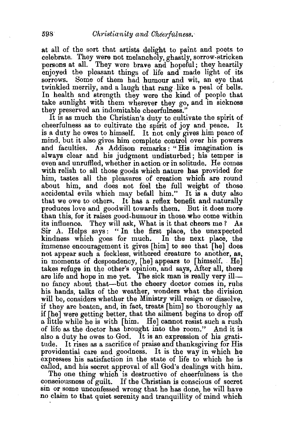at all of the sort that artists delight to paint and poets to celebrate. They were not melancholy, ghastly, sorrow-stricken persons at all. They were brave and hopeful; they heartily enjoyed the pleasant things of life and made light of its sorrows. Some of them had humour and wit, an eye that twinkled merrily, and a laugh that rang like a peal of bells. In health and strength they were the kind of people that take sunlight with them wherever they go, and in sickness they preserved an indomitable cheerfulness."

It is as much the Christian's duty to cultivate the spirit of cheerfulness as to cultivate the spirit of joy and peace. It is a duty he owes to himself. It not only gives him peace of mind, but it also gives him complete control over his powers and faculties. As Addison remarks: "His imagination is always clear and his judgment undisturbed; his temper is even and unruffled, whether in action or in solitude. He comes with relish to all those goods which nature has provided for him, tastes all the pleasures of creation which are round about him, and does not feel the full weight of those. accidental evils which may befall him." It is a duty also that we owe to others. It has a reflex benefit and naturally produces love and goodwill towards them. But it does more than this, for it raises good-humour in those. who come within its influence. They will ask, What is it that cheers me ? As Sir A. Helps says: "In the first place, the unexpected kindness which goes for much. In the next place, the immense encouragement it gives [him] to see that [he] does not appear such a feckless, withered creature to another, as, in moments of despondency, [he] appears to [himself. He] takes refuge in the other's opinion, and says, After all, there are life and hope in me yet. The sick man is really very ill no fancy about that-but the cheery doctor comes in, rubs his hands, talks of the weather, wonders what the division will be, considers whether the Ministry will resign or dissolve, if they are beaten, and, in fact, treats [him] so thoroughly as if [he] were getting better, that the ailment begins to drop off a little while he is with [him. He] cannot resist such a rush of life as the doctor has brought into the room." And it is also a duty he owes to God. It is an expression of his gratitude. It rises as a sacrifice of praise and thanksgiving for His providential care and goodness. It is the way in which he expresses his satisfaction in the state of life to which he is called, and his secret approval of all God's dealings with him.

The one thing which is destructive of cheerfulness is the consciousness of guilt. If the Christian is conscious of secret sin or some unconfessed wrong that he has done, he will have no claim to that quiet serenity and tranquillity of mind which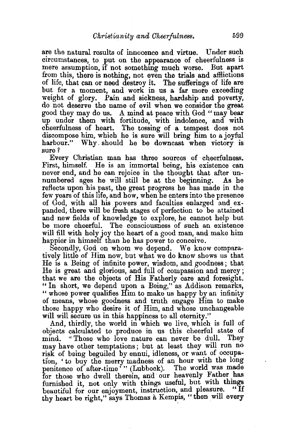are the natural results of innocence and virtue. Under such circumstances, to put on the appearance of cheerfulness is mere assumption, if not somethmg much worse. But apart from this, there is nothing, not even the trials and afflictions of life, that can or need destroy it. The sufferings of life are but for a moment, and work in us a far more exceeding weight of glory. Pain and sickness, hardship and poverty, do not deserve the name of evil when we consider the great good they may do us. A mind at peace with God " may bear up under them with fortitude, with indolence, and with cheerfulness of heart. The tossing of a tempest does not discompose him, which he is sure will bring him to a joyful harbour." Why. should he be downcast when victory is sure?

Every Christian man has three sources of cheerfulness. First, himself. He is an immortal being, his existence can never end, and he can rejoice in the thought that after unnumbered ages he will still be at the beginning. As he reflects upon his past, the great progress he has made in the few years of this life, and how, when he enters into the presence of God, with all his powers and faculties enlarged and expanded, there will be fresh stages of perfection to be attained and new fields of knowledge to explore, he cannot help but be more cheerful. The consciousness of such an existence will fill with holy joy the heart of a good man, and make him happier in himself than he has power to conceive.

Secondly, God on whom we depend. We know comparatively little of Him now, but what we do know shows us that He is a Being of infinite power, wisdom, and goodness; that He is great and glorious, and full of compassion and mercy ; that we are the objects of His Fatherly care and foresight. " In short, we depend upon a Being," as Addison remarks, " whose power qualifies Him to make us happy by an infinity of means, whose goodness and truth engage Him to make those happy who desire it of Him, and whose unchangeable will will secure us in this happiness to all eternity."

And, thirdly, the world in which we live, which is full of objects calculated to produce in us this cheerful state of mind. "Those who love nature can never be dull. They may have other temptations; but at least they will run no risk of being beguiled by ennui, idleness, or want of occupation, 'to buy the merry madness of an hour with the long penitence of after-time'" (Lubbock). The world was made for those who dwell therein, and our heavenly Father has furnished it, not only with things useful, but with things beguttful for our enjoyment instruction and pleasure. "If beautiful for our enjoyment, instruction, and pleasure. thy heart be right," says Thomas à Kempis, "then will every